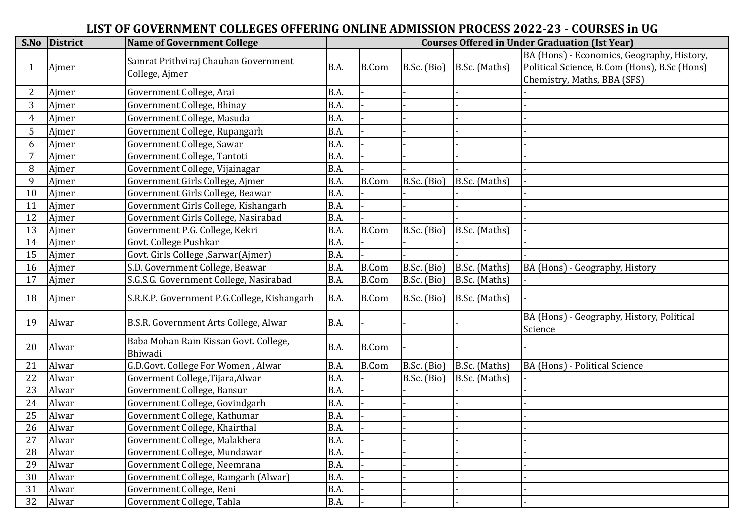## **LIST OF GOVERNMENT COLLEGES OFFERING ONLINE ADMISSION PROCESS 2022-23 - COURSES in UG**

|                | S.No District | <b>Name of Government College</b>                      | <b>Courses Offered in Under Graduation (Ist Year)</b> |              |               |               |                                                                                                                           |  |  |
|----------------|---------------|--------------------------------------------------------|-------------------------------------------------------|--------------|---------------|---------------|---------------------------------------------------------------------------------------------------------------------------|--|--|
| $\mathbf{1}$   | Ajmer         | Samrat Prithviraj Chauhan Government<br>College, Ajmer | B.A.                                                  | <b>B.Com</b> | $B.Sc.$ (Bio) | B.Sc. (Maths) | BA (Hons) - Economics, Geography, History,<br>Political Science, B.Com (Hons), B.Sc (Hons)<br>Chemistry, Maths, BBA (SFS) |  |  |
| $\overline{2}$ | Ajmer         | Government College, Arai                               | B.A.                                                  |              |               |               |                                                                                                                           |  |  |
| 3              | Ajmer         | Government College, Bhinay                             | B.A.                                                  |              |               |               |                                                                                                                           |  |  |
| $\overline{4}$ | Ajmer         | Government College, Masuda                             | B.A.                                                  |              |               |               |                                                                                                                           |  |  |
| 5              | Ajmer         | Government College, Rupangarh                          | B.A.                                                  |              |               |               |                                                                                                                           |  |  |
| 6              | Ajmer         | Government College, Sawar                              | B.A.                                                  |              |               |               |                                                                                                                           |  |  |
| 7              | Ajmer         | Government College, Tantoti                            | B.A.                                                  |              |               |               |                                                                                                                           |  |  |
| 8              | Ajmer         | Government College, Vijainagar                         | B.A.                                                  |              |               |               |                                                                                                                           |  |  |
| 9              | Ajmer         | Government Girls College, Ajmer                        | B.A.                                                  | B.Com        | B.Sc. (Bio)   | B.Sc. (Maths) |                                                                                                                           |  |  |
| 10             | Ajmer         | Government Girls College, Beawar                       | B.A.                                                  |              |               |               |                                                                                                                           |  |  |
| 11             | Ajmer         | Government Girls College, Kishangarh                   | B.A.                                                  |              |               |               |                                                                                                                           |  |  |
| 12             | Ajmer         | Government Girls College, Nasirabad                    | B.A.                                                  |              |               |               |                                                                                                                           |  |  |
| 13             | Ajmer         | Government P.G. College, Kekri                         | B.A.                                                  | <b>B.Com</b> | B.Sc. (Bio)   | B.Sc. (Maths) |                                                                                                                           |  |  |
| 14             | Ajmer         | Govt. College Pushkar                                  | B.A.                                                  |              |               |               |                                                                                                                           |  |  |
| 15             | Ajmer         | Govt. Girls College , Sarwar (Ajmer)                   | B.A.                                                  |              |               |               |                                                                                                                           |  |  |
| 16             | Ajmer         | S.D. Government College, Beawar                        | B.A.                                                  | <b>B.Com</b> | B.Sc. (Bio)   | B.Sc. (Maths) | BA (Hons) - Geography, History                                                                                            |  |  |
| 17             | Ajmer         | S.G.S.G. Government College, Nasirabad                 | B.A.                                                  | <b>B.Com</b> | B.Sc. (Bio)   | B.Sc. (Maths) |                                                                                                                           |  |  |
| 18             | Ajmer         | S.R.K.P. Government P.G.College, Kishangarh            | B.A.                                                  | <b>B.Com</b> | $B.Sc.$ (Bio) | B.Sc. (Maths) |                                                                                                                           |  |  |
| 19             | Alwar         | B.S.R. Government Arts College, Alwar                  | B.A.                                                  |              |               |               | BA (Hons) - Geography, History, Political<br>Science                                                                      |  |  |
| 20             | Alwar         | Baba Mohan Ram Kissan Govt. College,<br>Bhiwadi        | B.A.                                                  | <b>B.Com</b> |               |               |                                                                                                                           |  |  |
| 21             | Alwar         | G.D.Govt. College For Women, Alwar                     | B.A.                                                  | <b>B.Com</b> | B.Sc. (Bio)   | B.Sc. (Maths) | BA (Hons) - Political Science                                                                                             |  |  |
| 22             | Alwar         | Goverment College, Tijara, Alwar                       | B.A.                                                  |              | B.Sc. (Bio)   | B.Sc. (Maths) |                                                                                                                           |  |  |
| 23             | Alwar         | Government College, Bansur                             | B.A.                                                  |              |               |               |                                                                                                                           |  |  |
| 24             | Alwar         | Government College, Govindgarh                         | B.A.                                                  |              |               |               |                                                                                                                           |  |  |
| 25             | Alwar         | Government College, Kathumar                           | B.A.                                                  |              |               |               |                                                                                                                           |  |  |
| 26             | Alwar         | Government College, Khairthal                          | B.A.                                                  |              |               |               |                                                                                                                           |  |  |
| 27             | Alwar         | Government College, Malakhera                          | B.A.                                                  |              |               |               |                                                                                                                           |  |  |
| 28             | Alwar         | Government College, Mundawar                           | B.A.                                                  |              |               |               |                                                                                                                           |  |  |
| 29             | Alwar         | Government College, Neemrana                           | B.A.                                                  |              |               |               |                                                                                                                           |  |  |
| 30             | Alwar         | Government College, Ramgarh (Alwar)                    | B.A.                                                  |              |               |               |                                                                                                                           |  |  |
| 31             | Alwar         | Government College, Reni                               | B.A.                                                  |              |               |               |                                                                                                                           |  |  |
| 32             | Alwar         | Government College, Tahla                              | B.A.                                                  |              |               |               |                                                                                                                           |  |  |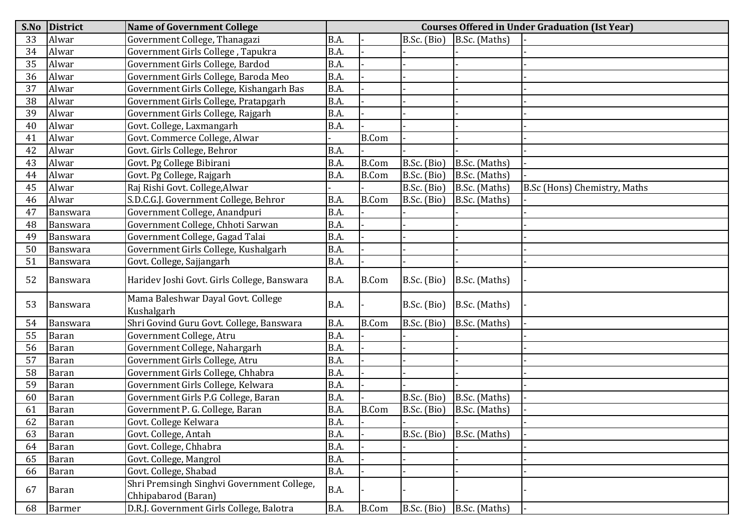| S.No | <b>District</b> | <b>Name of Government College</b>                                 | <b>Courses Offered in Under Graduation (Ist Year)</b> |              |             |               |                              |  |  |
|------|-----------------|-------------------------------------------------------------------|-------------------------------------------------------|--------------|-------------|---------------|------------------------------|--|--|
| 33   | Alwar           | Government College, Thanagazi                                     | B.A.                                                  |              | B.Sc. (Bio) | B.Sc. (Maths) |                              |  |  |
| 34   | Alwar           | Government Girls College, Tapukra                                 | B.A.                                                  |              |             |               |                              |  |  |
| 35   | Alwar           | Government Girls College, Bardod                                  | B.A.                                                  |              |             |               |                              |  |  |
| 36   | Alwar           | Government Girls College, Baroda Meo                              | B.A.                                                  |              |             |               |                              |  |  |
| 37   | Alwar           | Government Girls College, Kishangarh Bas                          | B.A.                                                  |              |             |               |                              |  |  |
| 38   | Alwar           | Government Girls College, Pratapgarh                              | B.A.                                                  |              |             |               |                              |  |  |
| 39   | Alwar           | Government Girls College, Rajgarh                                 | B.A.                                                  |              |             |               |                              |  |  |
| 40   | Alwar           | Govt. College, Laxmangarh                                         | B.A.                                                  |              |             |               |                              |  |  |
| 41   | Alwar           | Govt. Commerce College, Alwar                                     |                                                       | <b>B.Com</b> |             |               |                              |  |  |
| 42   | Alwar           | Govt. Girls College, Behror                                       | B.A.                                                  |              |             |               |                              |  |  |
| 43   | Alwar           | Govt. Pg College Bibirani                                         | B.A.                                                  | <b>B.Com</b> | B.Sc. (Bio) | B.Sc. (Maths) |                              |  |  |
| 44   | Alwar           | Govt. Pg College, Rajgarh                                         | B.A.                                                  | <b>B.Com</b> | B.Sc. (Bio) | B.Sc. (Maths) |                              |  |  |
| 45   | Alwar           | Raj Rishi Govt. College, Alwar                                    |                                                       |              | B.Sc. (Bio) | B.Sc. (Maths) | B.Sc (Hons) Chemistry, Maths |  |  |
| 46   | Alwar           | S.D.C.G.J. Government College, Behror                             | B.A.                                                  | <b>B.Com</b> | B.Sc. (Bio) | B.Sc. (Maths) |                              |  |  |
| 47   | Banswara        | Government College, Anandpuri                                     | B.A.                                                  |              |             |               |                              |  |  |
| 48   | Banswara        | Government College, Chhoti Sarwan                                 | B.A.                                                  |              |             |               |                              |  |  |
| 49   | Banswara        | Government College, Gagad Talai                                   | B.A.                                                  |              |             |               |                              |  |  |
| 50   | Banswara        | Government Girls College, Kushalgarh                              | B.A.                                                  |              |             |               |                              |  |  |
| 51   | Banswara        | Govt. College, Sajjangarh                                         | B.A.                                                  |              |             |               |                              |  |  |
| 52   | Banswara        | Haridev Joshi Govt. Girls College, Banswara                       | B.A.                                                  | <b>B.Com</b> | B.Sc. (Bio) | B.Sc. (Maths) |                              |  |  |
|      |                 | Mama Baleshwar Dayal Govt. College                                | B.A.                                                  |              |             |               |                              |  |  |
| 53   | Banswara        | Kushalgarh                                                        |                                                       |              | B.Sc. (Bio) | B.Sc. (Maths) |                              |  |  |
| 54   | Banswara        | Shri Govind Guru Govt. College, Banswara                          | B.A.                                                  | <b>B.Com</b> | B.Sc. (Bio) | B.Sc. (Maths) |                              |  |  |
| 55   | <b>Baran</b>    | Government College, Atru                                          | B.A.                                                  |              |             |               |                              |  |  |
| 56   | <b>Baran</b>    | Government College, Nahargarh                                     | B.A.                                                  |              |             |               |                              |  |  |
| 57   | <b>Baran</b>    | Government Girls College, Atru                                    | B.A.                                                  |              |             |               |                              |  |  |
| 58   | <b>Baran</b>    | Government Girls College, Chhabra                                 | B.A.                                                  |              |             |               |                              |  |  |
| 59   | Baran           | Government Girls College, Kelwara                                 | B.A.                                                  |              |             |               |                              |  |  |
| 60   | <b>Baran</b>    | Government Girls P.G College, Baran                               | B.A.                                                  |              | B.Sc. (Bio) | B.Sc. (Maths) |                              |  |  |
| 61   | <b>Baran</b>    | Government P. G. College, Baran                                   | B.A.                                                  | <b>B.Com</b> | B.Sc. (Bio) | B.Sc. (Maths) |                              |  |  |
| 62   | Baran           | Govt. College Kelwara                                             | <b>B.A.</b>                                           |              |             |               |                              |  |  |
| 63   | <b>Baran</b>    | Govt. College, Antah                                              | B.A.                                                  |              | B.Sc. (Bio) | B.Sc. (Maths) |                              |  |  |
| 64   | <b>Baran</b>    | Govt. College, Chhabra                                            | B.A.                                                  |              |             |               |                              |  |  |
| 65   | <b>Baran</b>    | Govt. College, Mangrol                                            | B.A.                                                  |              |             |               |                              |  |  |
| 66   | Baran           | Govt. College, Shabad                                             | B.A.                                                  |              |             |               |                              |  |  |
| 67   | Baran           | Shri Premsingh Singhvi Government College,<br>Chhipabarod (Baran) | B.A.                                                  |              |             |               |                              |  |  |
| 68   | <b>Barmer</b>   | D.R.J. Government Girls College, Balotra                          | B.A.                                                  | <b>B.Com</b> | B.Sc. (Bio) | B.Sc. (Maths) |                              |  |  |
|      |                 |                                                                   |                                                       |              |             |               |                              |  |  |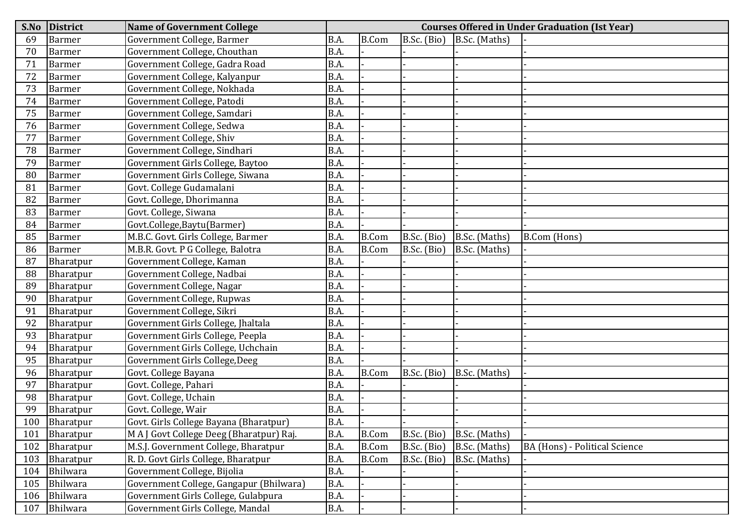| S.No | <b>District</b> | <b>Name of Government College</b>        |             | <b>Courses Offered in Under Graduation (Ist Year)</b> |             |               |                               |  |  |  |  |
|------|-----------------|------------------------------------------|-------------|-------------------------------------------------------|-------------|---------------|-------------------------------|--|--|--|--|
| 69   | <b>Barmer</b>   | Government College, Barmer               | B.A.        | <b>B.Com</b>                                          | B.Sc. (Bio) | B.Sc. (Maths) |                               |  |  |  |  |
| 70   | <b>Barmer</b>   | Government College, Chouthan             | B.A.        |                                                       |             |               |                               |  |  |  |  |
| 71   | <b>Barmer</b>   | Government College, Gadra Road           | B.A.        |                                                       |             |               |                               |  |  |  |  |
| 72   | <b>Barmer</b>   | Government College, Kalyanpur            | B.A.        |                                                       |             |               |                               |  |  |  |  |
| 73   | Barmer          | Government College, Nokhada              | B.A.        |                                                       |             |               |                               |  |  |  |  |
| 74   | <b>Barmer</b>   | Government College, Patodi               | B.A.        |                                                       |             |               |                               |  |  |  |  |
| 75   | Barmer          | Government College, Samdari              | B.A.        |                                                       |             |               |                               |  |  |  |  |
| 76   | <b>Barmer</b>   | Government College, Sedwa                | B.A.        |                                                       |             |               |                               |  |  |  |  |
| 77   | <b>Barmer</b>   | Government College, Shiv                 | B.A.        |                                                       |             |               |                               |  |  |  |  |
| 78   | <b>Barmer</b>   | Government College, Sindhari             | B.A.        |                                                       |             |               |                               |  |  |  |  |
| 79   | <b>Barmer</b>   | Government Girls College, Baytoo         | B.A.        |                                                       |             |               |                               |  |  |  |  |
| 80   | Barmer          | Government Girls College, Siwana         | B.A.        |                                                       |             |               |                               |  |  |  |  |
| 81   | <b>Barmer</b>   | Govt. College Gudamalani                 | B.A.        |                                                       |             |               |                               |  |  |  |  |
| 82   | <b>Barmer</b>   | Govt. College, Dhorimanna                | B.A.        |                                                       |             |               |                               |  |  |  |  |
| 83   | Barmer          | Govt. College, Siwana                    | B.A.        |                                                       |             |               |                               |  |  |  |  |
| 84   | <b>Barmer</b>   | Govt.College,Baytu(Barmer)               | B.A.        |                                                       |             |               |                               |  |  |  |  |
| 85   | <b>Barmer</b>   | M.B.C. Govt. Girls College, Barmer       | B.A.        | <b>B.Com</b>                                          | B.Sc. (Bio) | B.Sc. (Maths) | B.Com (Hons)                  |  |  |  |  |
| 86   | <b>Barmer</b>   | M.B.R. Govt. P G College, Balotra        | B.A.        | <b>B.Com</b>                                          | B.Sc. (Bio) | B.Sc. (Maths) |                               |  |  |  |  |
| 87   | Bharatpur       | Government College, Kaman                | B.A.        |                                                       |             |               |                               |  |  |  |  |
| 88   | Bharatpur       | Government College, Nadbai               | B.A.        |                                                       |             |               |                               |  |  |  |  |
| 89   | Bharatpur       | Government College, Nagar                | B.A.        |                                                       |             |               |                               |  |  |  |  |
| 90   | Bharatpur       | Government College, Rupwas               | B.A.        |                                                       |             |               |                               |  |  |  |  |
| 91   | Bharatpur       | Government College, Sikri                | B.A.        |                                                       |             |               |                               |  |  |  |  |
| 92   | Bharatpur       | Government Girls College, Jhaltala       | B.A.        |                                                       |             |               |                               |  |  |  |  |
| 93   | Bharatpur       | Government Girls College, Peepla         | B.A.        |                                                       |             |               |                               |  |  |  |  |
| 94   | Bharatpur       | Government Girls College, Uchchain       | B.A.        |                                                       |             |               |                               |  |  |  |  |
| 95   | Bharatpur       | Government Girls College, Deeg           | B.A.        |                                                       |             |               |                               |  |  |  |  |
| 96   | Bharatpur       | Govt. College Bayana                     | B.A.        | <b>B.Com</b>                                          | B.Sc. (Bio) | B.Sc. (Maths) |                               |  |  |  |  |
| 97   | Bharatpur       | Govt. College, Pahari                    | B.A.        |                                                       |             |               |                               |  |  |  |  |
| 98   | Bharatpur       | Govt. College, Uchain                    | B.A.        |                                                       |             |               |                               |  |  |  |  |
| 99   | Bharatpur       | Govt. College, Wair                      | B.A.        |                                                       |             |               |                               |  |  |  |  |
| 100  | Bharatpur       | Govt. Girls College Bayana (Bharatpur)   | <b>B.A.</b> |                                                       |             |               |                               |  |  |  |  |
| 101  | Bharatpur       | M A J Govt College Deeg (Bharatpur) Raj. | B.A.        | <b>B.Com</b>                                          | B.Sc. (Bio) | B.Sc. (Maths) |                               |  |  |  |  |
| 102  | Bharatpur       | M.S.J. Government College, Bharatpur     | B.A.        | <b>B.Com</b>                                          | B.Sc. (Bio) | B.Sc. (Maths) | BA (Hons) - Political Science |  |  |  |  |
| 103  | Bharatpur       | R. D. Govt Girls College, Bharatpur      | B.A.        | <b>B.Com</b>                                          | B.Sc. (Bio) | B.Sc. (Maths) |                               |  |  |  |  |
| 104  | Bhilwara        | Government College, Bijolia              | B.A.        |                                                       |             |               |                               |  |  |  |  |
| 105  | Bhilwara        | Government College, Gangapur (Bhilwara)  | B.A.        |                                                       |             |               |                               |  |  |  |  |
| 106  | Bhilwara        | Government Girls College, Gulabpura      | B.A.        |                                                       |             |               |                               |  |  |  |  |
| 107  | Bhilwara        | Government Girls College, Mandal         | <b>B.A.</b> |                                                       |             |               |                               |  |  |  |  |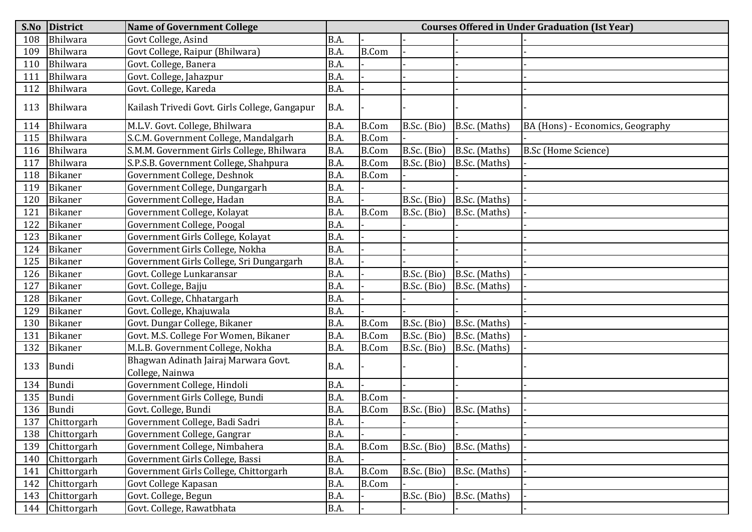| S.No | <b>District</b> | <b>Name of Government College</b>                       | <b>Courses Offered in Under Graduation (Ist Year)</b> |              |             |               |                                  |  |  |
|------|-----------------|---------------------------------------------------------|-------------------------------------------------------|--------------|-------------|---------------|----------------------------------|--|--|
| 108  | Bhilwara        | Govt College, Asind                                     | B.A.                                                  |              |             |               |                                  |  |  |
| 109  | Bhilwara        | Govt College, Raipur (Bhilwara)                         | B.A.                                                  | <b>B.Com</b> |             |               |                                  |  |  |
| 110  | Bhilwara        | Govt. College, Banera                                   | B.A.                                                  |              |             |               |                                  |  |  |
| 111  | Bhilwara        | Govt. College, Jahazpur                                 | B.A.                                                  |              |             |               |                                  |  |  |
| 112  | Bhilwara        | Govt. College, Kareda                                   | B.A.                                                  |              |             |               |                                  |  |  |
| 113  | Bhilwara        | Kailash Trivedi Govt. Girls College, Gangapur           | <b>B.A.</b>                                           |              |             |               |                                  |  |  |
| 114  | Bhilwara        | M.L.V. Govt. College, Bhilwara                          | B.A.                                                  | <b>B.Com</b> | B.Sc. (Bio) | B.Sc. (Maths) | BA (Hons) - Economics, Geography |  |  |
| 115  | Bhilwara        | S.C.M. Government College, Mandalgarh                   | B.A.                                                  | <b>B.Com</b> |             |               |                                  |  |  |
| 116  | Bhilwara        | S.M.M. Government Girls College, Bhilwara               | B.A.                                                  | <b>B.Com</b> | B.Sc. (Bio) | B.Sc. (Maths) | <b>B.Sc (Home Science)</b>       |  |  |
| 117  | Bhilwara        | S.P.S.B. Government College, Shahpura                   | B.A.                                                  | <b>B.Com</b> | B.Sc. (Bio) | B.Sc. (Maths) |                                  |  |  |
| 118  | <b>Bikaner</b>  | Government College, Deshnok                             | B.A.                                                  | <b>B.Com</b> |             |               |                                  |  |  |
| 119  | <b>Bikaner</b>  | Government College, Dungargarh                          | B.A.                                                  |              |             |               |                                  |  |  |
| 120  | <b>Bikaner</b>  | Government College, Hadan                               | B.A.                                                  |              | B.Sc. (Bio) | B.Sc. (Maths) |                                  |  |  |
| 121  | Bikaner         | Government College, Kolayat                             | B.A.                                                  | <b>B.Com</b> | B.Sc. (Bio) | B.Sc. (Maths) |                                  |  |  |
| 122  | Bikaner         | Government College, Poogal                              | B.A.                                                  |              |             |               |                                  |  |  |
| 123  | <b>Bikaner</b>  | Government Girls College, Kolayat                       | B.A.                                                  |              |             |               |                                  |  |  |
| 124  | Bikaner         | Government Girls College, Nokha                         | B.A.                                                  |              |             |               |                                  |  |  |
| 125  | <b>Bikaner</b>  | Government Girls College, Sri Dungargarh                | B.A.                                                  |              |             |               |                                  |  |  |
| 126  | Bikaner         | Govt. College Lunkaransar                               | B.A.                                                  |              | B.Sc. (Bio) | B.Sc. (Maths) |                                  |  |  |
| 127  | Bikaner         | Govt. College, Bajju                                    | B.A.                                                  |              | B.Sc. (Bio) | B.Sc. (Maths) |                                  |  |  |
| 128  | <b>Bikaner</b>  | Govt. College, Chhatargarh                              | B.A.                                                  |              |             |               |                                  |  |  |
| 129  | Bikaner         | Govt. College, Khajuwala                                | B.A.                                                  |              |             |               |                                  |  |  |
| 130  | <b>Bikaner</b>  | Govt. Dungar College, Bikaner                           | B.A.                                                  | <b>B.Com</b> | B.Sc. (Bio) | B.Sc. (Maths) |                                  |  |  |
| 131  | Bikaner         | Govt. M.S. College For Women, Bikaner                   | B.A.                                                  | <b>B.Com</b> | B.Sc. (Bio) | B.Sc. (Maths) |                                  |  |  |
| 132  | <b>Bikaner</b>  | M.L.B. Government College, Nokha                        | B.A.                                                  | <b>B.Com</b> | B.Sc. (Bio) | B.Sc. (Maths) |                                  |  |  |
| 133  | <b>Bundi</b>    | Bhagwan Adinath Jairaj Marwara Govt.<br>College, Nainwa | B.A.                                                  |              |             |               |                                  |  |  |
| 134  | Bundi           | Government College, Hindoli                             | B.A.                                                  |              |             |               |                                  |  |  |
| 135  | Bundi           | Government Girls College, Bundi                         | B.A.                                                  | <b>B.Com</b> |             |               |                                  |  |  |
| 136  | Bundi           | Govt. College, Bundi                                    | B.A.                                                  | <b>B.Com</b> | B.Sc. (Bio) | B.Sc. (Maths) |                                  |  |  |
| 137  | Chittorgarh     | Government College, Badi Sadri                          | B.A.                                                  |              |             |               |                                  |  |  |
| 138  | Chittorgarh     | Government College, Gangrar                             | B.A.                                                  |              |             |               |                                  |  |  |
| 139  | Chittorgarh     | Government College, Nimbahera                           | B.A.                                                  | <b>B.Com</b> | B.Sc. (Bio) | B.Sc. (Maths) |                                  |  |  |
| 140  | Chittorgarh     | Government Girls College, Bassi                         | B.A.                                                  |              |             |               |                                  |  |  |
| 141  | Chittorgarh     | Government Girls College, Chittorgarh                   | B.A.                                                  | <b>B.Com</b> | B.Sc. (Bio) | B.Sc. (Maths) |                                  |  |  |
| 142  | Chittorgarh     | Govt College Kapasan                                    | B.A.                                                  | <b>B.Com</b> |             |               |                                  |  |  |
| 143  | Chittorgarh     | Govt. College, Begun                                    | B.A.                                                  |              | B.Sc. (Bio) | B.Sc. (Maths) |                                  |  |  |
| 144  | Chittorgarh     | Govt. College, Rawatbhata                               | B.A.                                                  |              |             |               |                                  |  |  |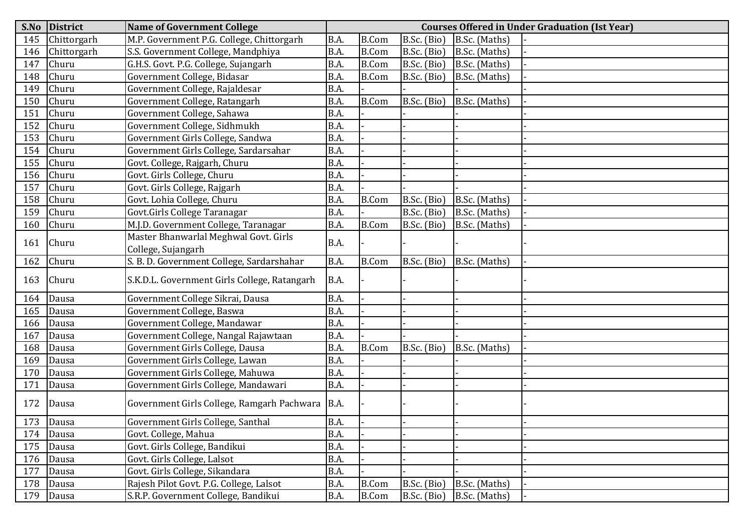| S.No | <b>District</b> | <b>Name of Government College</b>            | <b>Courses Offered in Under Graduation (Ist Year)</b> |              |             |               |  |  |  |
|------|-----------------|----------------------------------------------|-------------------------------------------------------|--------------|-------------|---------------|--|--|--|
| 145  | Chittorgarh     | M.P. Government P.G. College, Chittorgarh    | B.A.                                                  | <b>B.Com</b> | B.Sc. (Bio) | B.Sc. (Maths) |  |  |  |
| 146  | Chittorgarh     | S.S. Government College, Mandphiya           | B.A.                                                  | <b>B.Com</b> | B.Sc. (Bio) | B.Sc. (Maths) |  |  |  |
| 147  | Churu           | G.H.S. Govt. P.G. College, Sujangarh         | B.A.                                                  | <b>B.Com</b> | B.Sc. (Bio) | B.Sc. (Maths) |  |  |  |
| 148  | Churu           | Government College, Bidasar                  | B.A.                                                  | <b>B.Com</b> | B.Sc. (Bio) | B.Sc. (Maths) |  |  |  |
| 149  | Churu           | Government College, Rajaldesar               | B.A.                                                  |              |             |               |  |  |  |
| 150  | Churu           | Government College, Ratangarh                | B.A.                                                  | <b>B.Com</b> | B.Sc. (Bio) | B.Sc. (Maths) |  |  |  |
| 151  | Churu           | Government College, Sahawa                   | B.A.                                                  |              |             |               |  |  |  |
| 152  | Churu           | Government College, Sidhmukh                 | B.A.                                                  |              |             |               |  |  |  |
| 153  | Churu           | Government Girls College, Sandwa             | B.A.                                                  |              |             |               |  |  |  |
| 154  | Churu           | Government Girls College, Sardarsahar        | B.A.                                                  |              |             |               |  |  |  |
| 155  | Churu           | Govt. College, Rajgarh, Churu                | B.A.                                                  |              |             |               |  |  |  |
| 156  | Churu           | Govt. Girls College, Churu                   | B.A.                                                  |              |             |               |  |  |  |
| 157  | Churu           | Govt. Girls College, Rajgarh                 | B.A.                                                  |              |             |               |  |  |  |
| 158  | Churu           | Govt. Lohia College, Churu                   | B.A.                                                  | <b>B.Com</b> | B.Sc. (Bio) | B.Sc. (Maths) |  |  |  |
| 159  | Churu           | Govt.Girls College Taranagar                 | B.A.                                                  |              | B.Sc. (Bio) | B.Sc. (Maths) |  |  |  |
| 160  | Churu           | M.J.D. Government College, Taranagar         | B.A.                                                  | <b>B.Com</b> | B.Sc. (Bio) | B.Sc. (Maths) |  |  |  |
| 161  | Churu           | Master Bhanwarlal Meghwal Govt. Girls        | B.A.                                                  |              |             |               |  |  |  |
|      |                 | College, Sujangarh                           |                                                       |              |             |               |  |  |  |
| 162  | Churu           | S. B. D. Government College, Sardarshahar    | B.A.                                                  | <b>B.Com</b> | B.Sc. (Bio) | B.Sc. (Maths) |  |  |  |
| 163  | Churu           | S.K.D.L. Government Girls College, Ratangarh | B.A.                                                  |              |             |               |  |  |  |
| 164  | Dausa           | Government College Sikrai, Dausa             | B.A.                                                  |              |             |               |  |  |  |
| 165  | Dausa           | Government College, Baswa                    | B.A.                                                  |              |             |               |  |  |  |
| 166  | Dausa           | Government College, Mandawar                 | B.A.                                                  |              |             |               |  |  |  |
| 167  | Dausa           | Government College, Nangal Rajawtaan         | B.A.                                                  |              |             |               |  |  |  |
| 168  | Dausa           | Government Girls College, Dausa              | B.A.                                                  | <b>B.Com</b> | B.Sc. (Bio) | B.Sc. (Maths) |  |  |  |
| 169  | Dausa           | Government Girls College, Lawan              | B.A.                                                  |              |             |               |  |  |  |
| 170  | Dausa           | Government Girls College, Mahuwa             | B.A.                                                  |              |             |               |  |  |  |
| 171  | Dausa           | Government Girls College, Mandawari          | B.A.                                                  |              |             |               |  |  |  |
| 172  | Dausa           | Government Girls College, Ramgarh Pachwara   | B.A.                                                  |              |             |               |  |  |  |
|      | 173 Dausa       | Government Girls College, Santhal            | B.A.                                                  |              |             |               |  |  |  |
| 174  | Dausa           | Govt. College, Mahua                         | B.A.                                                  |              |             |               |  |  |  |
| 175  | Dausa           | Govt. Girls College, Bandikui                | B.A.                                                  |              |             |               |  |  |  |
| 176  | Dausa           | Govt. Girls College, Lalsot                  | B.A.                                                  |              |             |               |  |  |  |
| 177  | Dausa           | Govt. Girls College, Sikandara               | B.A.                                                  |              |             |               |  |  |  |
| 178  | Dausa           | Rajesh Pilot Govt. P.G. College, Lalsot      | B.A.                                                  | <b>B.Com</b> | B.Sc. (Bio) | B.Sc. (Maths) |  |  |  |
| 179  | Dausa           | S.R.P. Government College, Bandikui          | B.A.                                                  | B.Com        | B.Sc. (Bio) | B.Sc. (Maths) |  |  |  |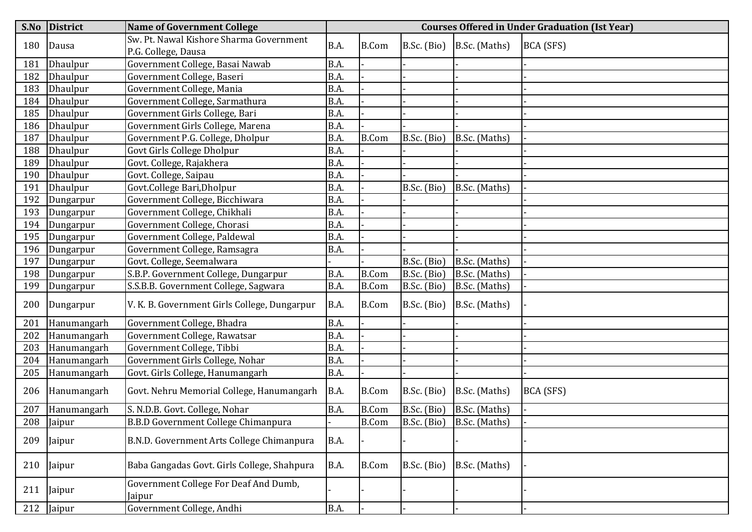| S.No | <b>District</b> | <b>Name of Government College</b>               | <b>Courses Offered in Under Graduation (Ist Year)</b> |              |             |                           |           |  |  |
|------|-----------------|-------------------------------------------------|-------------------------------------------------------|--------------|-------------|---------------------------|-----------|--|--|
| 180  | Dausa           | Sw. Pt. Nawal Kishore Sharma Government         | B.A.                                                  | <b>B.Com</b> | B.Sc. (Bio) | B.Sc. (Maths)             | BCA (SFS) |  |  |
|      |                 | P.G. College, Dausa                             |                                                       |              |             |                           |           |  |  |
| 181  | Dhaulpur        | Government College, Basai Nawab                 | B.A.                                                  |              |             |                           |           |  |  |
| 182  | Dhaulpur        | Government College, Baseri                      | B.A.                                                  |              |             |                           |           |  |  |
| 183  | Dhaulpur        | Government College, Mania                       | B.A.                                                  |              |             |                           |           |  |  |
| 184  | Dhaulpur        | Government College, Sarmathura                  | B.A.                                                  |              |             |                           |           |  |  |
| 185  | Dhaulpur        | Government Girls College, Bari                  | B.A.                                                  |              |             |                           |           |  |  |
| 186  | <b>Dhaulpur</b> | Government Girls College, Marena                | B.A.                                                  |              |             |                           |           |  |  |
| 187  | <b>Dhaulpur</b> | Government P.G. College, Dholpur                | B.A.                                                  | <b>B.Com</b> | B.Sc. (Bio) | B.Sc. (Maths)             |           |  |  |
| 188  | Dhaulpur        | Govt Girls College Dholpur                      | B.A.                                                  |              |             |                           |           |  |  |
| 189  | <b>Dhaulpur</b> | Govt. College, Rajakhera                        | B.A.                                                  |              |             |                           |           |  |  |
| 190  | <b>Dhaulpur</b> | Govt. College, Saipau                           | B.A.                                                  |              |             |                           |           |  |  |
| 191  | Dhaulpur        | Govt.College Bari, Dholpur                      | B.A.                                                  |              | B.Sc. (Bio) | B.Sc. (Maths)             |           |  |  |
| 192  | Dungarpur       | Government College, Bicchiwara                  | B.A.                                                  |              |             |                           |           |  |  |
| 193  | Dungarpur       | Government College, Chikhali                    | B.A.                                                  |              |             |                           |           |  |  |
| 194  | Dungarpur       | Government College, Chorasi                     | B.A.                                                  |              |             |                           |           |  |  |
| 195  | Dungarpur       | Government College, Paldewal                    | B.A.                                                  |              |             |                           |           |  |  |
| 196  | Dungarpur       | Government College, Ramsagra                    | B.A.                                                  |              |             |                           |           |  |  |
| 197  | Dungarpur       | Govt. College, Seemalwara                       |                                                       |              | B.Sc. (Bio) | B.Sc. (Maths)             |           |  |  |
| 198  | Dungarpur       | S.B.P. Government College, Dungarpur            | B.A.                                                  | <b>B.Com</b> | B.Sc. (Bio) | B.Sc. (Maths)             |           |  |  |
| 199  | Dungarpur       | S.S.B.B. Government College, Sagwara            | B.A.                                                  | <b>B.Com</b> | B.Sc. (Bio) | B.Sc. (Maths)             |           |  |  |
| 200  | Dungarpur       | V. K. B. Government Girls College, Dungarpur    | B.A.                                                  | <b>B.Com</b> | B.Sc. (Bio) | B.Sc. (Maths)             |           |  |  |
| 201  | Hanumangarh     | Government College, Bhadra                      | B.A.                                                  |              |             |                           |           |  |  |
| 202  | Hanumangarh     | Government College, Rawatsar                    | B.A.                                                  |              |             |                           |           |  |  |
| 203  | Hanumangarh     | Government College, Tibbi                       | B.A.                                                  |              |             |                           |           |  |  |
| 204  | Hanumangarh     | Government Girls College, Nohar                 | B.A.                                                  |              |             |                           |           |  |  |
| 205  | Hanumangarh     | Govt. Girls College, Hanumangarh                | B.A.                                                  |              |             |                           |           |  |  |
| 206  | Hanumangarh     | Govt. Nehru Memorial College, Hanumangarh       | B.A.                                                  | <b>B.Com</b> | B.Sc. (Bio) | B.Sc. (Maths)             | BCA (SFS) |  |  |
| 207  | Hanumangarh     | S. N.D.B. Govt. College, Nohar                  | B.A.                                                  | <b>B.Com</b> | B.Sc. (Bio) | B.Sc. (Maths)             |           |  |  |
| 208  | Jaipur          | <b>B.B.D Government College Chimanpura</b>      |                                                       | <b>B.Com</b> |             | B.Sc. (Bio) B.Sc. (Maths) |           |  |  |
| 209  | Jaipur          | B.N.D. Government Arts College Chimanpura       | <b>B.A.</b>                                           |              |             |                           |           |  |  |
| 210  | Jaipur          | Baba Gangadas Govt. Girls College, Shahpura     | <b>B.A.</b>                                           | <b>B.Com</b> | B.Sc. (Bio) | B.Sc. (Maths)             |           |  |  |
| 211  | Jaipur          | Government College For Deaf And Dumb,<br>Jaipur |                                                       |              |             |                           |           |  |  |
| 212  | Jaipur          | Government College, Andhi                       | B.A.                                                  |              |             |                           |           |  |  |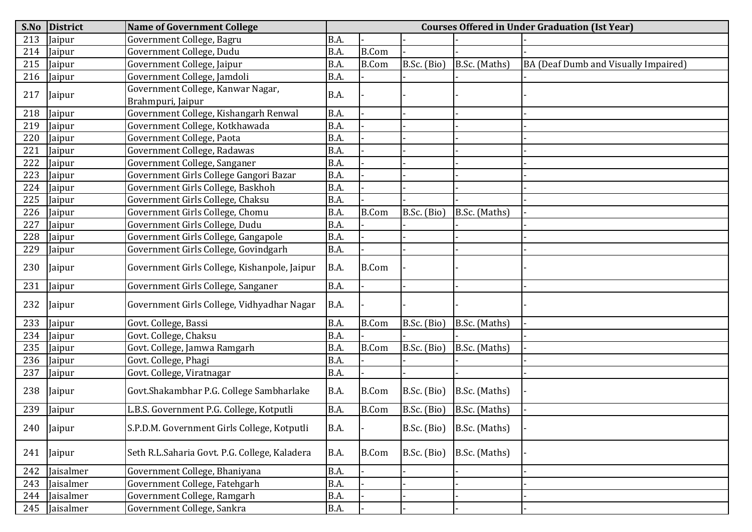| S.No | <b>District</b> | <b>Name of Government College</b>             | <b>Courses Offered in Under Graduation (Ist Year)</b> |              |             |               |                                      |  |  |
|------|-----------------|-----------------------------------------------|-------------------------------------------------------|--------------|-------------|---------------|--------------------------------------|--|--|
| 213  | Jaipur          | Government College, Bagru                     | B.A.                                                  |              |             |               |                                      |  |  |
| 214  | Jaipur          | Government College, Dudu                      | B.A.                                                  | <b>B.Com</b> |             |               |                                      |  |  |
| 215  | Jaipur          | Government College, Jaipur                    | B.A.                                                  | <b>B.Com</b> | B.Sc. (Bio) | B.Sc. (Maths) | BA (Deaf Dumb and Visually Impaired) |  |  |
| 216  | Jaipur          | Government College, Jamdoli                   | B.A.                                                  |              |             |               |                                      |  |  |
| 217  | Jaipur          | Government College, Kanwar Nagar,             | B.A.                                                  |              |             |               |                                      |  |  |
|      |                 | Brahmpuri, Jaipur                             |                                                       |              |             |               |                                      |  |  |
| 218  | Jaipur          | Government College, Kishangarh Renwal         | B.A.                                                  |              |             |               |                                      |  |  |
| 219  | Jaipur          | Government College, Kotkhawada                | B.A.                                                  |              |             |               |                                      |  |  |
| 220  | Jaipur          | Government College, Paota                     | B.A.                                                  |              |             |               |                                      |  |  |
| 221  | Jaipur          | Government College, Radawas                   | B.A.                                                  |              |             |               |                                      |  |  |
| 222  | Jaipur          | Government College, Sanganer                  | B.A.                                                  |              |             |               |                                      |  |  |
| 223  | Jaipur          | Government Girls College Gangori Bazar        | B.A.                                                  |              |             |               |                                      |  |  |
| 224  | Jaipur          | Government Girls College, Baskhoh             | B.A.                                                  |              |             |               |                                      |  |  |
| 225  | Jaipur          | Government Girls College, Chaksu              | B.A.                                                  |              |             |               |                                      |  |  |
| 226  | Jaipur          | Government Girls College, Chomu               | B.A.                                                  | <b>B.Com</b> | B.Sc. (Bio) | B.Sc. (Maths) |                                      |  |  |
| 227  | Jaipur          | Government Girls College, Dudu                | B.A.                                                  |              |             |               |                                      |  |  |
| 228  | Jaipur          | Government Girls College, Gangapole           | B.A.                                                  |              |             |               |                                      |  |  |
| 229  | Jaipur          | Government Girls College, Govindgarh          | B.A.                                                  |              |             |               |                                      |  |  |
| 230  | Jaipur          | Government Girls College, Kishanpole, Jaipur  | B.A.                                                  | <b>B.Com</b> |             |               |                                      |  |  |
| 231  | Jaipur          | Government Girls College, Sanganer            | B.A.                                                  |              |             |               |                                      |  |  |
| 232  | Jaipur          | Government Girls College, Vidhyadhar Nagar    | B.A.                                                  |              |             |               |                                      |  |  |
| 233  | Jaipur          | Govt. College, Bassi                          | B.A.                                                  | <b>B.Com</b> | B.Sc. (Bio) | B.Sc. (Maths) |                                      |  |  |
| 234  | Jaipur          | Govt. College, Chaksu                         | B.A.                                                  |              |             |               |                                      |  |  |
| 235  | Jaipur          | Govt. College, Jamwa Ramgarh                  | B.A.                                                  | <b>B.Com</b> | B.Sc. (Bio) | B.Sc. (Maths) |                                      |  |  |
| 236  | Jaipur          | Govt. College, Phagi                          | B.A.                                                  |              |             |               |                                      |  |  |
| 237  | Jaipur          | Govt. College, Viratnagar                     | B.A.                                                  |              |             |               |                                      |  |  |
| 238  | Jaipur          | Govt.Shakambhar P.G. College Sambharlake      | B.A.                                                  | <b>B.Com</b> | B.Sc. (Bio) | B.Sc. (Maths) |                                      |  |  |
| 239  | Jaipur          | L.B.S. Government P.G. College, Kotputli      | B.A.                                                  | <b>B.Com</b> | B.Sc. (Bio) | B.Sc. (Maths) |                                      |  |  |
| 240  | Jaipur          | S.P.D.M. Government Girls College, Kotputli   | B.A.                                                  |              | B.Sc. (Bio) | B.Sc. (Maths) |                                      |  |  |
| 241  | Jaipur          | Seth R.L.Saharia Govt. P.G. College, Kaladera | B.A.                                                  | <b>B.Com</b> | B.Sc. (Bio) | B.Sc. (Maths) |                                      |  |  |
| 242  | Jaisalmer       | Government College, Bhaniyana                 | B.A.                                                  |              |             |               |                                      |  |  |
| 243  | Jaisalmer       | Government College, Fatehgarh                 | B.A.                                                  |              |             |               |                                      |  |  |
| 244  | Jaisalmer       | Government College, Ramgarh                   | B.A.                                                  |              |             |               |                                      |  |  |
|      | 245 Jaisalmer   | Government College, Sankra                    | B.A.                                                  |              |             |               |                                      |  |  |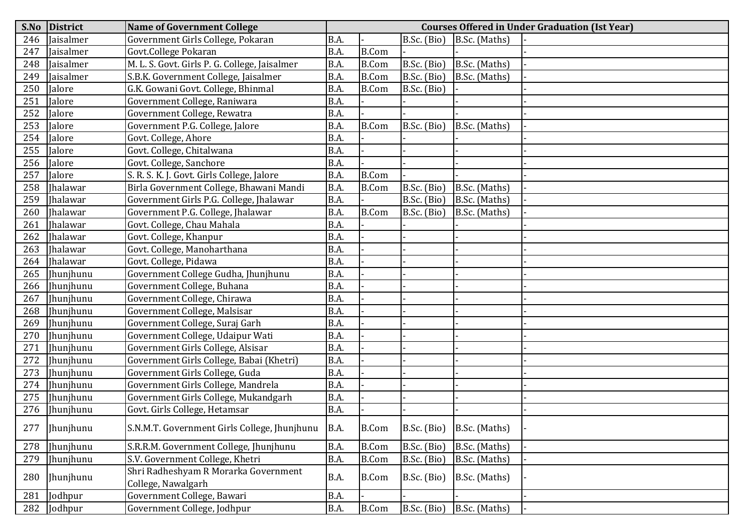| S.No | <b>District</b>  | <b>Name of Government College</b>                          | <b>Courses Offered in Under Graduation (Ist Year)</b> |              |             |               |  |  |  |  |
|------|------------------|------------------------------------------------------------|-------------------------------------------------------|--------------|-------------|---------------|--|--|--|--|
| 246  | Jaisalmer        | Government Girls College, Pokaran                          | B.A.                                                  |              | B.Sc. (Bio) | B.Sc. (Maths) |  |  |  |  |
| 247  | Jaisalmer        | Govt.College Pokaran                                       | B.A.                                                  | <b>B.Com</b> |             |               |  |  |  |  |
| 248  | Jaisalmer        | M. L. S. Govt. Girls P. G. College, Jaisalmer              | B.A.                                                  | <b>B.Com</b> | B.Sc. (Bio) | B.Sc. (Maths) |  |  |  |  |
| 249  | Jaisalmer        | S.B.K. Government College, Jaisalmer                       | B.A.                                                  | <b>B.Com</b> | B.Sc. (Bio) | B.Sc. (Maths) |  |  |  |  |
| 250  | Jalore           | G.K. Gowani Govt. College, Bhinmal                         | B.A.                                                  | <b>B.Com</b> | B.Sc. (Bio) |               |  |  |  |  |
| 251  | Jalore           | Government College, Raniwara                               | B.A.                                                  |              |             |               |  |  |  |  |
| 252  | Jalore           | Government College, Rewatra                                | B.A.                                                  |              |             |               |  |  |  |  |
| 253  | Jalore           | Government P.G. College, Jalore                            | B.A.                                                  | <b>B.Com</b> | B.Sc. (Bio) | B.Sc. (Maths) |  |  |  |  |
| 254  | Jalore           | Govt. College, Ahore                                       | B.A.                                                  |              |             |               |  |  |  |  |
| 255  | Jalore           | Govt. College, Chitalwana                                  | B.A.                                                  |              |             |               |  |  |  |  |
| 256  | Jalore           | Govt. College, Sanchore                                    | B.A.                                                  |              |             |               |  |  |  |  |
| 257  | Jalore           | S. R. S. K. J. Govt. Girls College, Jalore                 | B.A.                                                  | <b>B.Com</b> |             |               |  |  |  |  |
| 258  | <b>Ihalawar</b>  | Birla Government College, Bhawani Mandi                    | B.A.                                                  | <b>B.Com</b> | B.Sc. (Bio) | B.Sc. (Maths) |  |  |  |  |
| 259  | <b>Ihalawar</b>  | Government Girls P.G. College, Jhalawar                    | B.A.                                                  |              | B.Sc. (Bio) | B.Sc. (Maths) |  |  |  |  |
| 260  | <b>Ihalawar</b>  | Government P.G. College, Jhalawar                          | B.A.                                                  | <b>B.Com</b> | B.Sc. (Bio) | B.Sc. (Maths) |  |  |  |  |
| 261  | <b>Ihalawar</b>  | Govt. College, Chau Mahala                                 | B.A.                                                  |              |             |               |  |  |  |  |
| 262  | Jhalawar         | Govt. College, Khanpur                                     | B.A.                                                  |              |             |               |  |  |  |  |
| 263  | <b>Jhalawar</b>  | Govt. College, Manoharthana                                | B.A.                                                  |              |             |               |  |  |  |  |
| 264  | Jhalawar         | Govt. College, Pidawa                                      | B.A.                                                  |              |             |               |  |  |  |  |
| 265  | <b>Ihunihunu</b> | Government College Gudha, Jhunjhunu                        | B.A.                                                  |              |             |               |  |  |  |  |
| 266  | Jhunjhunu        | Government College, Buhana                                 | B.A.                                                  |              |             |               |  |  |  |  |
| 267  | Jhunjhunu        | Government College, Chirawa                                | B.A.                                                  |              |             |               |  |  |  |  |
| 268  | Jhunjhunu        | Government College, Malsisar                               | B.A.                                                  |              |             |               |  |  |  |  |
| 269  | Jhunjhunu        | Government College, Suraj Garh                             | B.A.                                                  |              |             |               |  |  |  |  |
| 270  | Ihunjhunu        | Government College, Udaipur Wati                           | B.A.                                                  |              |             |               |  |  |  |  |
| 271  | Jhunjhunu        | Government Girls College, Alsisar                          | B.A.                                                  |              |             |               |  |  |  |  |
| 272  | Jhunjhunu        | Government Girls College, Babai (Khetri)                   | B.A.                                                  |              |             |               |  |  |  |  |
| 273  | Jhunjhunu        | Government Girls College, Guda                             | B.A.                                                  |              |             |               |  |  |  |  |
| 274  | Jhunjhunu        | Government Girls College, Mandrela                         | B.A.                                                  |              |             |               |  |  |  |  |
| 275  | Jhunjhunu        | Government Girls College, Mukandgarh                       | B.A.                                                  |              |             |               |  |  |  |  |
| 276  | Jhunjhunu        | Govt. Girls College, Hetamsar                              | B.A.                                                  |              |             |               |  |  |  |  |
| 277  | Jhunjhunu        | S.N.M.T. Government Girls College, Jhunjhunu               | B.A.                                                  | <b>B.Com</b> | B.Sc. (Bio) | B.Sc. (Maths) |  |  |  |  |
| 278  | Jhunjhunu        | S.R.R.M. Government College, Jhunjhunu                     | B.A.                                                  | <b>B.Com</b> | B.Sc. (Bio) | B.Sc. (Maths) |  |  |  |  |
| 279  | Jhunjhunu        | S.V. Government College, Khetri                            | B.A.                                                  | <b>B.Com</b> | B.Sc. (Bio) | B.Sc. (Maths) |  |  |  |  |
| 280  | Jhunjhunu        | Shri Radheshyam R Morarka Government<br>College, Nawalgarh | B.A.                                                  | <b>B.Com</b> | B.Sc. (Bio) | B.Sc. (Maths) |  |  |  |  |
| 281  | Jodhpur          | Government College, Bawari                                 | B.A.                                                  |              |             |               |  |  |  |  |
| 282  | Jodhpur          | Government College, Jodhpur                                | B.A.                                                  | <b>B.Com</b> | B.Sc. (Bio) | B.Sc. (Maths) |  |  |  |  |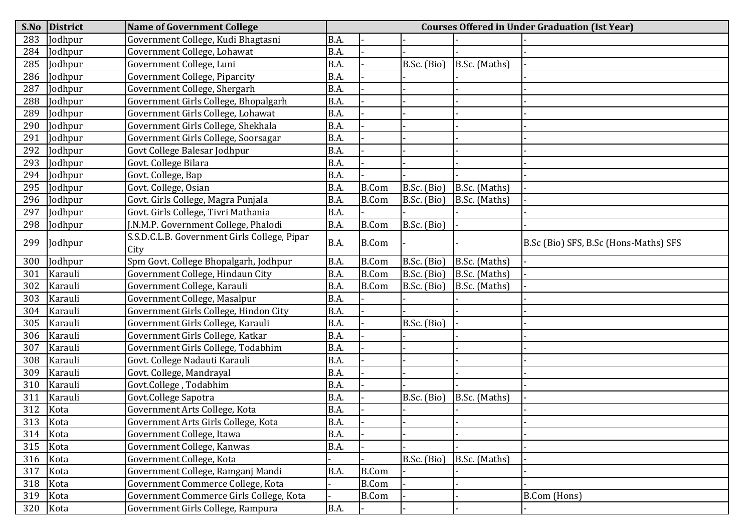| S.No     | <b>District</b> | <b>Name of Government College</b>                    |      | <b>Courses Offered in Under Graduation (Ist Year)</b> |             |               |                                       |  |  |  |
|----------|-----------------|------------------------------------------------------|------|-------------------------------------------------------|-------------|---------------|---------------------------------------|--|--|--|
| 283      | Jodhpur         | Government College, Kudi Bhagtasni                   | B.A. |                                                       |             |               |                                       |  |  |  |
| 284      | Jodhpur         | Government College, Lohawat                          | B.A. |                                                       |             |               |                                       |  |  |  |
| 285      | Jodhpur         | Government College, Luni                             | B.A. |                                                       | B.Sc. (Bio) | B.Sc. (Maths) |                                       |  |  |  |
| 286      | Jodhpur         | Government College, Piparcity                        | B.A. |                                                       |             |               |                                       |  |  |  |
| 287      | Jodhpur         | Government College, Shergarh                         | B.A. |                                                       |             |               |                                       |  |  |  |
| 288      | Jodhpur         | Government Girls College, Bhopalgarh                 | B.A. |                                                       |             |               |                                       |  |  |  |
| 289      | Jodhpur         | Government Girls College, Lohawat                    | B.A. |                                                       |             |               |                                       |  |  |  |
| 290      | Jodhpur         | Government Girls College, Shekhala                   | B.A. |                                                       |             |               |                                       |  |  |  |
| 291      | Jodhpur         | Government Girls College, Soorsagar                  | B.A. |                                                       |             |               |                                       |  |  |  |
| 292      | Jodhpur         | Govt College Balesar Jodhpur                         | B.A. |                                                       |             |               |                                       |  |  |  |
| 293      | Jodhpur         | Govt. College Bilara                                 | B.A. |                                                       |             |               |                                       |  |  |  |
| 294      | Jodhpur         | Govt. College, Bap                                   | B.A. |                                                       |             |               |                                       |  |  |  |
| 295      | Jodhpur         | Govt. College, Osian                                 | B.A. | <b>B.Com</b>                                          | B.Sc. (Bio) | B.Sc. (Maths) |                                       |  |  |  |
| 296      | Jodhpur         | Govt. Girls College, Magra Punjala                   | B.A. | B.Com                                                 | B.Sc. (Bio) | B.Sc. (Maths) |                                       |  |  |  |
| 297      | Jodhpur         | Govt. Girls College, Tivri Mathania                  | B.A. |                                                       |             |               |                                       |  |  |  |
| 298      | Jodhpur         | J.N.M.P. Government College, Phalodi                 | B.A. | <b>B.Com</b>                                          | B.Sc. (Bio) |               |                                       |  |  |  |
| 299      | Jodhpur         | S.S.D.C.L.B. Government Girls College, Pipar<br>City | B.A. | <b>B.Com</b>                                          |             |               | B.Sc (Bio) SFS, B.Sc (Hons-Maths) SFS |  |  |  |
| 300      | Jodhpur         | Spm Govt. College Bhopalgarh, Jodhpur                | B.A. | <b>B.Com</b>                                          | B.Sc. (Bio) | B.Sc. (Maths) |                                       |  |  |  |
| 301      | Karauli         | Government College, Hindaun City                     | B.A. | <b>B.Com</b>                                          | B.Sc. (Bio) | B.Sc. (Maths) |                                       |  |  |  |
| 302      | Karauli         | Government College, Karauli                          | B.A. | <b>B.Com</b>                                          | B.Sc. (Bio) | B.Sc. (Maths) |                                       |  |  |  |
| 303      | Karauli         | Government College, Masalpur                         | B.A. |                                                       |             |               |                                       |  |  |  |
| 304      | Karauli         | Government Girls College, Hindon City                | B.A. |                                                       |             |               |                                       |  |  |  |
| 305      | Karauli         | Government Girls College, Karauli                    | B.A. |                                                       | B.Sc. (Bio) |               |                                       |  |  |  |
| 306      | Karauli         | Government Girls College, Katkar                     | B.A. |                                                       |             |               |                                       |  |  |  |
| 307      | Karauli         | Government Girls College, Todabhim                   | B.A. |                                                       |             |               |                                       |  |  |  |
| 308      | Karauli         | Govt. College Nadauti Karauli                        | B.A. |                                                       |             |               |                                       |  |  |  |
| 309      | Karauli         | Govt. College, Mandrayal                             | B.A. |                                                       |             |               |                                       |  |  |  |
| 310      | Karauli         | Govt.College, Todabhim                               | B.A. |                                                       |             |               |                                       |  |  |  |
| 311      | Karauli         | Govt.College Sapotra                                 | B.A. |                                                       | B.Sc. (Bio) | B.Sc. (Maths) |                                       |  |  |  |
| 312      | Kota            | Government Arts College, Kota                        | B.A. |                                                       |             |               |                                       |  |  |  |
| 313      | Kota            | Government Arts Girls College, Kota                  | B.A. |                                                       |             |               |                                       |  |  |  |
| 314      | Kota            | Government College, Itawa                            | B.A. |                                                       |             |               |                                       |  |  |  |
| 315      | Kota            | Government College, Kanwas                           | B.A. |                                                       |             |               |                                       |  |  |  |
| 316      | Kota            | Government College, Kota                             |      |                                                       | B.Sc. (Bio) | B.Sc. (Maths) |                                       |  |  |  |
| 317      | Kota            | Government College, Ramganj Mandi                    | B.A. | <b>B.Com</b>                                          |             |               |                                       |  |  |  |
| 318 Kota |                 | Government Commerce College, Kota                    |      | <b>B.Com</b>                                          |             |               |                                       |  |  |  |
| 319      | Kota            | Government Commerce Girls College, Kota              |      | B.Com                                                 |             |               | B.Com (Hons)                          |  |  |  |
| 320      | Kota            | Government Girls College, Rampura                    | B.A. |                                                       |             |               |                                       |  |  |  |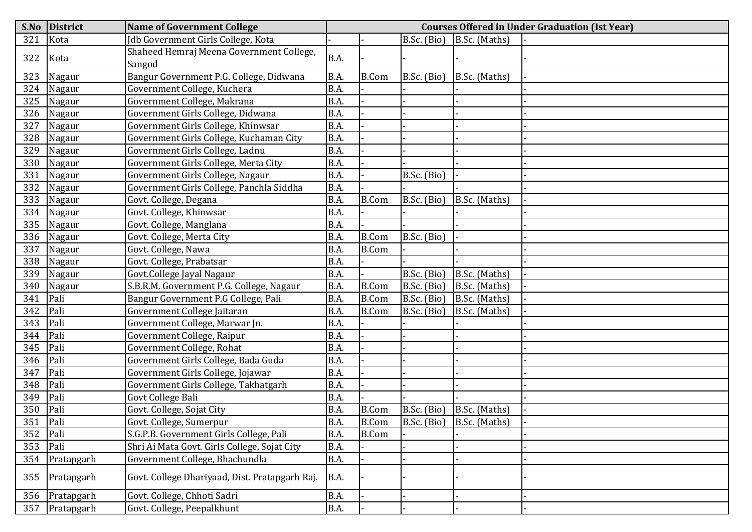| S.No | District   | <b>Name of Government College</b>                  |             | <b>Courses Offered in Under Graduation (Ist Year)</b> |             |                               |  |  |  |  |
|------|------------|----------------------------------------------------|-------------|-------------------------------------------------------|-------------|-------------------------------|--|--|--|--|
| 321  | Kota       | Jdb Government Girls College, Kota                 |             |                                                       | B.Sc. (Bio) | B.Sc. (Maths)                 |  |  |  |  |
| 322  | Kota       | Shaheed Hemraj Meena Government College,<br>Sangod | B.A.        |                                                       |             |                               |  |  |  |  |
| 323  | Nagaur     | Bangur Government P.G. College, Didwana            | B.A.        | <b>B.Com</b>                                          | B.Sc. (Bio) | B.Sc. (Maths)                 |  |  |  |  |
| 324  | Nagaur     | Government College, Kuchera                        | B.A.        |                                                       |             |                               |  |  |  |  |
| 325  | Nagaur     | Government College, Makrana                        | B.A.        |                                                       |             |                               |  |  |  |  |
| 326  | Nagaur     | Government Girls College, Didwana                  | B.A.        |                                                       |             |                               |  |  |  |  |
| 327  | Nagaur     | Government Girls College, Khinwsar                 | B.A.        |                                                       |             |                               |  |  |  |  |
| 328  | Nagaur     | Government Girls College, Kuchaman City            | B.A.        |                                                       |             |                               |  |  |  |  |
| 329  | Nagaur     | Government Girls College, Ladnu                    | B.A.        |                                                       |             |                               |  |  |  |  |
| 330  | Nagaur     | Government Girls College, Merta City               | B.A.        |                                                       |             |                               |  |  |  |  |
| 331  | Nagaur     | Government Girls College, Nagaur                   | B.A.        |                                                       | B.Sc. (Bio) |                               |  |  |  |  |
| 332  | Nagaur     | Government Girls College, Panchla Siddha           | B.A.        |                                                       |             |                               |  |  |  |  |
| 333  | Nagaur     | Govt. College, Degana                              | B.A.        | <b>B.Com</b>                                          | B.Sc. (Bio) | B.Sc. (Maths)                 |  |  |  |  |
| 334  | Nagaur     | Govt. College, Khinwsar                            | B.A.        |                                                       |             |                               |  |  |  |  |
| 335  | Nagaur     | Govt. College, Manglana                            | B.A.        |                                                       |             |                               |  |  |  |  |
| 336  | Nagaur     | Govt. College, Merta City                          | B.A.        | <b>B.Com</b>                                          | B.Sc. (Bio) |                               |  |  |  |  |
| 337  | Nagaur     | Govt. College, Nawa                                | B.A.        | <b>B.Com</b>                                          |             |                               |  |  |  |  |
| 338  | Nagaur     | Govt. College, Prabatsar                           | B.A.        |                                                       |             |                               |  |  |  |  |
| 339  | Nagaur     | Govt.College Jayal Nagaur                          | B.A.        |                                                       | B.Sc. (Bio) | B.Sc. (Maths)                 |  |  |  |  |
| 340  | Nagaur     | S.B.R.M. Government P.G. College, Nagaur           | B.A.        | <b>B.Com</b>                                          | B.Sc. (Bio) | B.Sc. (Maths)                 |  |  |  |  |
| 341  | Pali       | Bangur Government P.G College, Pali                | B.A.        | <b>B.Com</b>                                          | B.Sc. (Bio) | B.Sc. (Maths)                 |  |  |  |  |
| 342  | Pali       | Government College Jaitaran                        | B.A.        | <b>B.Com</b>                                          | B.Sc. (Bio) | B.Sc. (Maths)                 |  |  |  |  |
| 343  | Pali       | Government College, Marwar Jn.                     | B.A.        |                                                       |             |                               |  |  |  |  |
| 344  | Pali       | Government College, Raipur                         | B.A.        |                                                       |             |                               |  |  |  |  |
| 345  | Pali       | Government College, Rohat                          | B.A.        |                                                       |             |                               |  |  |  |  |
| 346  | Pali       | Government Girls College, Bada Guda                | B.A.        |                                                       |             |                               |  |  |  |  |
| 347  | Pali       | Government Girls College, Jojawar                  | B.A.        |                                                       |             |                               |  |  |  |  |
| 348  | Pali       | Government Girls College, Takhatgarh               | B.A.        |                                                       |             |                               |  |  |  |  |
| 349  | Pali       | Govt College Bali                                  | B.A.        |                                                       |             |                               |  |  |  |  |
| 350  | Pali       | Govt. College, Sojat City                          | B.A.        | <b>B.Com</b>                                          | B.Sc. (Bio) | B.Sc. (Maths)                 |  |  |  |  |
| 351  | Pali       | Govt. College, Sumerpur                            | B.A.        | <b>B.Com</b>                                          |             | B.Sc. (Bio) $ $ B.Sc. (Maths) |  |  |  |  |
| 352  | Pali       | S.G.P.B. Government Girls College, Pali            | B.A.        | <b>B.Com</b>                                          |             |                               |  |  |  |  |
| 353  | Pali       | Shri Ai Mata Govt. Girls College, Sojat City       | B.A.        |                                                       |             |                               |  |  |  |  |
| 354  | Pratapgarh | Government College, Bhachundla                     | B.A.        |                                                       |             |                               |  |  |  |  |
| 355  | Pratapgarh | Govt. College Dhariyaad, Dist. Pratapgarh Raj.     | B.A.        |                                                       |             |                               |  |  |  |  |
| 356  | Pratapgarh | Govt. College, Chhoti Sadri                        | B.A.        |                                                       |             |                               |  |  |  |  |
| 357  | Pratapgarh | Govt. College, Peepalkhunt                         | <b>B.A.</b> |                                                       |             |                               |  |  |  |  |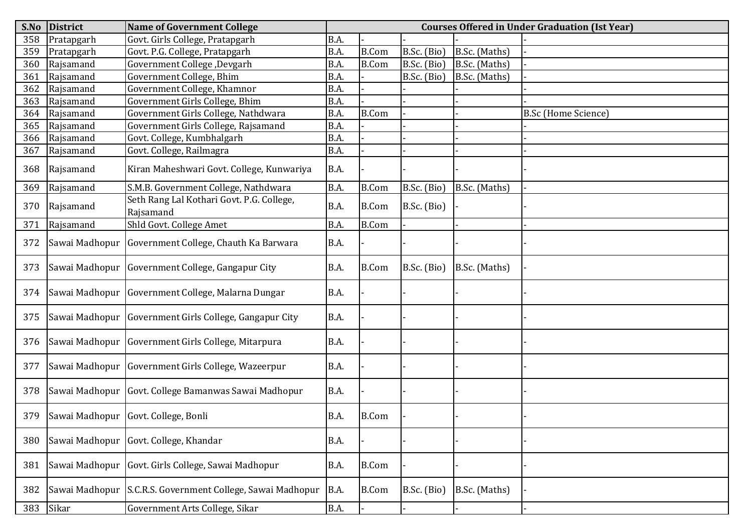| S.No | <b>District</b> | <b>Name of Government College</b>                          | <b>Courses Offered in Under Graduation (Ist Year)</b> |              |               |               |                            |  |  |  |
|------|-----------------|------------------------------------------------------------|-------------------------------------------------------|--------------|---------------|---------------|----------------------------|--|--|--|
| 358  | Pratapgarh      | Govt. Girls College, Pratapgarh                            | B.A.                                                  |              |               |               |                            |  |  |  |
| 359  | Pratapgarh      | Govt. P.G. College, Pratapgarh                             | B.A.                                                  | <b>B.Com</b> | $B.Sc.$ (Bio) | B.Sc. (Maths) |                            |  |  |  |
| 360  | Rajsamand       | Government College, Devgarh                                | B.A.                                                  | <b>B.Com</b> | B.Sc. (Bio)   | B.Sc. (Maths) |                            |  |  |  |
| 361  | Rajsamand       | Government College, Bhim                                   | B.A.                                                  |              | B.Sc. (Bio)   | B.Sc. (Maths) |                            |  |  |  |
| 362  | Rajsamand       | Government College, Khamnor                                | B.A.                                                  |              |               |               |                            |  |  |  |
| 363  | Rajsamand       | Government Girls College, Bhim                             | B.A.                                                  |              |               |               |                            |  |  |  |
| 364  | Rajsamand       | Government Girls College, Nathdwara                        | B.A.                                                  | <b>B.Com</b> |               |               | <b>B.Sc</b> (Home Science) |  |  |  |
| 365  | Rajsamand       | Government Girls College, Rajsamand                        | B.A.                                                  |              |               |               |                            |  |  |  |
| 366  | Rajsamand       | Govt. College, Kumbhalgarh                                 | B.A.                                                  |              |               |               |                            |  |  |  |
| 367  | Rajsamand       | Govt. College, Railmagra                                   | B.A.                                                  |              |               |               |                            |  |  |  |
| 368  | Rajsamand       | Kiran Maheshwari Govt. College, Kunwariya                  | B.A.                                                  |              |               |               |                            |  |  |  |
| 369  | Rajsamand       | S.M.B. Government College, Nathdwara                       | B.A.                                                  | <b>B.Com</b> | B.Sc. (Bio)   | B.Sc. (Maths) |                            |  |  |  |
| 370  | Rajsamand       | Seth Rang Lal Kothari Govt. P.G. College,<br>Rajsamand     | B.A.                                                  | <b>B.Com</b> | B.Sc. (Bio)   |               |                            |  |  |  |
| 371  | Rajsamand       | Shld Govt. College Amet                                    | B.A.                                                  | <b>B.Com</b> |               |               |                            |  |  |  |
| 372  |                 | Sawai Madhopur Government College, Chauth Ka Barwara       | <b>B.A.</b>                                           |              |               |               |                            |  |  |  |
| 373  |                 | Sawai Madhopur Government College, Gangapur City           | B.A.                                                  | <b>B.Com</b> | B.Sc. (Bio)   | B.Sc. (Maths) |                            |  |  |  |
| 374  |                 | Sawai Madhopur Government College, Malarna Dungar          | B.A.                                                  |              |               |               |                            |  |  |  |
| 375  |                 | Sawai Madhopur   Government Girls College, Gangapur City   | <b>B.A.</b>                                           |              |               |               |                            |  |  |  |
| 376  |                 | Sawai Madhopur   Government Girls College, Mitarpura       | B.A.                                                  |              |               |               |                            |  |  |  |
| 377  |                 | Sawai Madhopur   Government Girls College, Wazeerpur       | B.A.                                                  |              |               |               |                            |  |  |  |
| 378  |                 | Sawai Madhopur Govt. College Bamanwas Sawai Madhopur       | <b>B.A.</b>                                           |              |               |               |                            |  |  |  |
|      |                 | 379 Sawai Madhopur Govt. College, Bonli                    | B.A.                                                  | B.Com        |               |               |                            |  |  |  |
| 380  |                 | Sawai Madhopur Govt. College, Khandar                      | <b>B.A.</b>                                           |              |               |               |                            |  |  |  |
| 381  | Sawai Madhopur  | Govt. Girls College, Sawai Madhopur                        | <b>B.A.</b>                                           | <b>B.Com</b> |               |               |                            |  |  |  |
| 382  |                 | Sawai Madhopur S.C.R.S. Government College, Sawai Madhopur | B.A.                                                  | <b>B.Com</b> | B.Sc. (Bio)   | B.Sc. (Maths) |                            |  |  |  |
| 383  | Sikar           | Government Arts College, Sikar                             | B.A.                                                  |              |               |               |                            |  |  |  |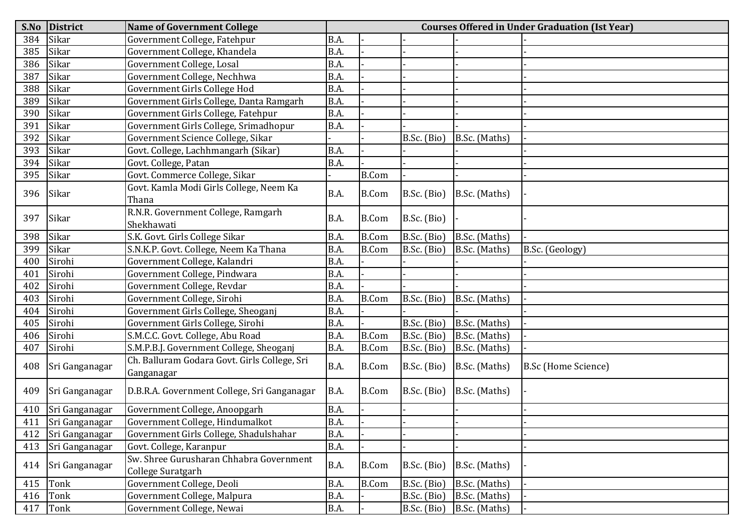| S.No | <b>District</b> | <b>Name of Government College</b>                            | <b>Courses Offered in Under Graduation (Ist Year)</b> |              |               |               |                            |  |  |  |
|------|-----------------|--------------------------------------------------------------|-------------------------------------------------------|--------------|---------------|---------------|----------------------------|--|--|--|
| 384  | Sikar           | Government College, Fatehpur                                 | B.A.                                                  |              |               |               |                            |  |  |  |
| 385  | Sikar           | Government College, Khandela                                 | B.A.                                                  |              |               |               |                            |  |  |  |
| 386  | Sikar           | Government College, Losal                                    | B.A.                                                  |              |               |               |                            |  |  |  |
| 387  | Sikar           | Government College, Nechhwa                                  | B.A.                                                  |              |               |               |                            |  |  |  |
| 388  | Sikar           | Government Girls College Hod                                 | B.A.                                                  |              |               |               |                            |  |  |  |
| 389  | Sikar           | Government Girls College, Danta Ramgarh                      | B.A.                                                  |              |               |               |                            |  |  |  |
| 390  | Sikar           | Government Girls College, Fatehpur                           | B.A.                                                  |              |               |               |                            |  |  |  |
| 391  | Sikar           | Government Girls College, Srimadhopur                        | B.A.                                                  |              |               |               |                            |  |  |  |
| 392  | Sikar           | Government Science College, Sikar                            |                                                       |              | B.Sc. (Bio)   | B.Sc. (Maths) |                            |  |  |  |
| 393  | Sikar           | Govt. College, Lachhmangarh (Sikar)                          | B.A.                                                  |              |               |               |                            |  |  |  |
| 394  | Sikar           | Govt. College, Patan                                         | B.A.                                                  |              |               |               |                            |  |  |  |
| 395  | Sikar           | Govt. Commerce College, Sikar                                |                                                       | <b>B.Com</b> |               |               |                            |  |  |  |
| 396  | Sikar           | Govt. Kamla Modi Girls College, Neem Ka<br>Thana             | B.A.                                                  | <b>B.Com</b> | B.Sc. (Bio)   | B.Sc. (Maths) |                            |  |  |  |
| 397  | Sikar           | R.N.R. Government College, Ramgarh<br>Shekhawati             | B.A.                                                  | <b>B.Com</b> | B.Sc. (Bio)   |               |                            |  |  |  |
| 398  | Sikar           | S.K. Govt. Girls College Sikar                               | B.A.                                                  | <b>B.Com</b> | B.Sc. (Bio)   | B.Sc. (Maths) |                            |  |  |  |
| 399  | Sikar           | S.N.K.P. Govt. College, Neem Ka Thana                        | B.A.                                                  | <b>B.Com</b> | B.Sc. (Bio)   | B.Sc. (Maths) | B.Sc. (Geology)            |  |  |  |
| 400  | Sirohi          | Government College, Kalandri                                 | B.A.                                                  |              |               |               |                            |  |  |  |
| 401  | Sirohi          | Government College, Pindwara                                 | B.A.                                                  |              |               |               |                            |  |  |  |
| 402  | Sirohi          | Government College, Revdar                                   | B.A.                                                  |              |               |               |                            |  |  |  |
| 403  | Sirohi          | Government College, Sirohi                                   | B.A.                                                  | <b>B.Com</b> | B.Sc. (Bio)   | B.Sc. (Maths) |                            |  |  |  |
| 404  | Sirohi          | Government Girls College, Sheoganj                           | B.A.                                                  |              |               |               |                            |  |  |  |
| 405  | Sirohi          | Government Girls College, Sirohi                             | B.A.                                                  |              | B.Sc. (Bio)   | B.Sc. (Maths) |                            |  |  |  |
| 406  | Sirohi          | S.M.C.C. Govt. College, Abu Road                             | B.A.                                                  | <b>B.Com</b> | B.Sc. (Bio)   | B.Sc. (Maths) |                            |  |  |  |
| 407  | Sirohi          | S.M.P.B.J. Government College, Sheoganj                      | B.A.                                                  | <b>B.Com</b> | B.Sc. (Bio)   | B.Sc. (Maths) |                            |  |  |  |
| 408  | Sri Ganganagar  | Ch. Balluram Godara Govt. Girls College, Sri<br>Ganganagar   | B.A.                                                  | <b>B.Com</b> | B.Sc. (Bio)   | B.Sc. (Maths) | <b>B.Sc (Home Science)</b> |  |  |  |
| 409  | Sri Ganganagar  | D.B.R.A. Government College, Sri Ganganagar                  | B.A.                                                  | <b>B.Com</b> | $B.Sc.$ (Bio) | B.Sc. (Maths) |                            |  |  |  |
| 410  | Sri Ganganagar  | Government College, Anoopgarh                                | B.A.                                                  |              |               |               |                            |  |  |  |
| 411  | Sri Ganganagar  | Government College, Hindumalkot                              | <b>B.A.</b>                                           |              |               |               |                            |  |  |  |
| 412  | Sri Ganganagar  | Government Girls College, Shadulshahar                       | B.A.                                                  |              |               |               |                            |  |  |  |
| 413  | Sri Ganganagar  | Govt. College, Karanpur                                      | B.A.                                                  |              |               |               |                            |  |  |  |
| 414  | Sri Ganganagar  | Sw. Shree Gurusharan Chhabra Government<br>College Suratgarh | B.A.                                                  | <b>B.Com</b> | B.Sc. (Bio)   | B.Sc. (Maths) |                            |  |  |  |
| 415  | Tonk            | Government College, Deoli                                    | B.A.                                                  | <b>B.Com</b> | B.Sc. (Bio)   | B.Sc. (Maths) |                            |  |  |  |
| 416  | Tonk            | Government College, Malpura                                  | B.A.                                                  |              | B.Sc. (Bio)   | B.Sc. (Maths) |                            |  |  |  |
| 417  | Tonk            | Government College, Newai                                    | B.A.                                                  |              | B.Sc. (Bio)   | B.Sc. (Maths) |                            |  |  |  |